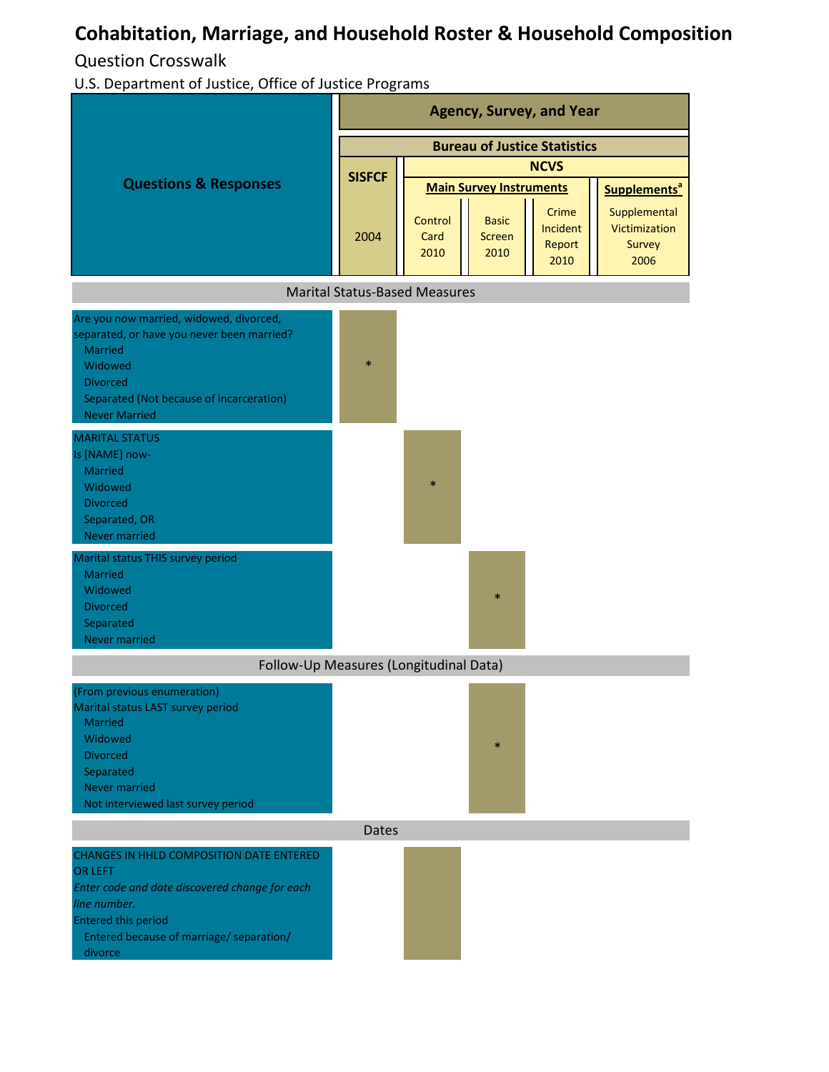## **Cohabitation, Marriage, and Household Roster & Household Composition**

Question Crosswalk

U.S. Department of Justice, Office of Justice Programs

|                                                                                                                                                                                                                          | <b>Agency, Survey, and Year</b>      |                         |                                       |                                     |                                                 |  |
|--------------------------------------------------------------------------------------------------------------------------------------------------------------------------------------------------------------------------|--------------------------------------|-------------------------|---------------------------------------|-------------------------------------|-------------------------------------------------|--|
| <b>Questions &amp; Responses</b>                                                                                                                                                                                         | <b>Bureau of Justice Statistics</b>  |                         |                                       |                                     |                                                 |  |
|                                                                                                                                                                                                                          | <b>SISFCF</b>                        | <b>NCVS</b>             |                                       |                                     |                                                 |  |
|                                                                                                                                                                                                                          |                                      |                         | <b>Main Survey Instruments</b>        | Supplements <sup>a</sup>            |                                                 |  |
|                                                                                                                                                                                                                          | 2004                                 | Control<br>Card<br>2010 | <b>Basic</b><br><b>Screen</b><br>2010 | Crime<br>Incident<br>Report<br>2010 | Supplemental<br>Victimization<br>Survey<br>2006 |  |
|                                                                                                                                                                                                                          | <b>Marital Status-Based Measures</b> |                         |                                       |                                     |                                                 |  |
| Are you now married, widowed, divorced,<br>separated, or have you never been married?<br><b>Married</b><br>Widowed<br><b>Divorced</b><br>Separated (Not because of incarceration)<br><b>Never Married</b>                | $\ast$                               |                         |                                       |                                     |                                                 |  |
| <b>MARITAL STATUS</b><br>Is [NAME] now-<br><b>Married</b><br>Widowed<br><b>Divorced</b><br>Separated, OR<br><b>Never married</b>                                                                                         |                                      | $\ast$                  |                                       |                                     |                                                 |  |
| Marital status THIS survey period<br><b>Married</b><br>Widowed<br><b>Divorced</b><br>Separated<br><b>Never married</b>                                                                                                   |                                      |                         | $\ast$                                |                                     |                                                 |  |
| Follow-Up Measures (Longitudinal Data)                                                                                                                                                                                   |                                      |                         |                                       |                                     |                                                 |  |
| (From previous enumeration)<br>Marital status LAST survey period<br><b>Married</b><br>Widowed<br><b>Divorced</b><br>Separated<br><b>Never married</b><br>Not interviewed last survey period                              |                                      |                         | $\ast$                                |                                     |                                                 |  |
| <b>Dates</b>                                                                                                                                                                                                             |                                      |                         |                                       |                                     |                                                 |  |
| <b>CHANGES IN HHLD COMPOSITION DATE ENTERED</b><br><b>OR LEFT</b><br>Enter code and date discovered change for each<br>line number.<br><b>Entered this period</b><br>Entered because of marriage/ separation/<br>divorce |                                      |                         |                                       |                                     |                                                 |  |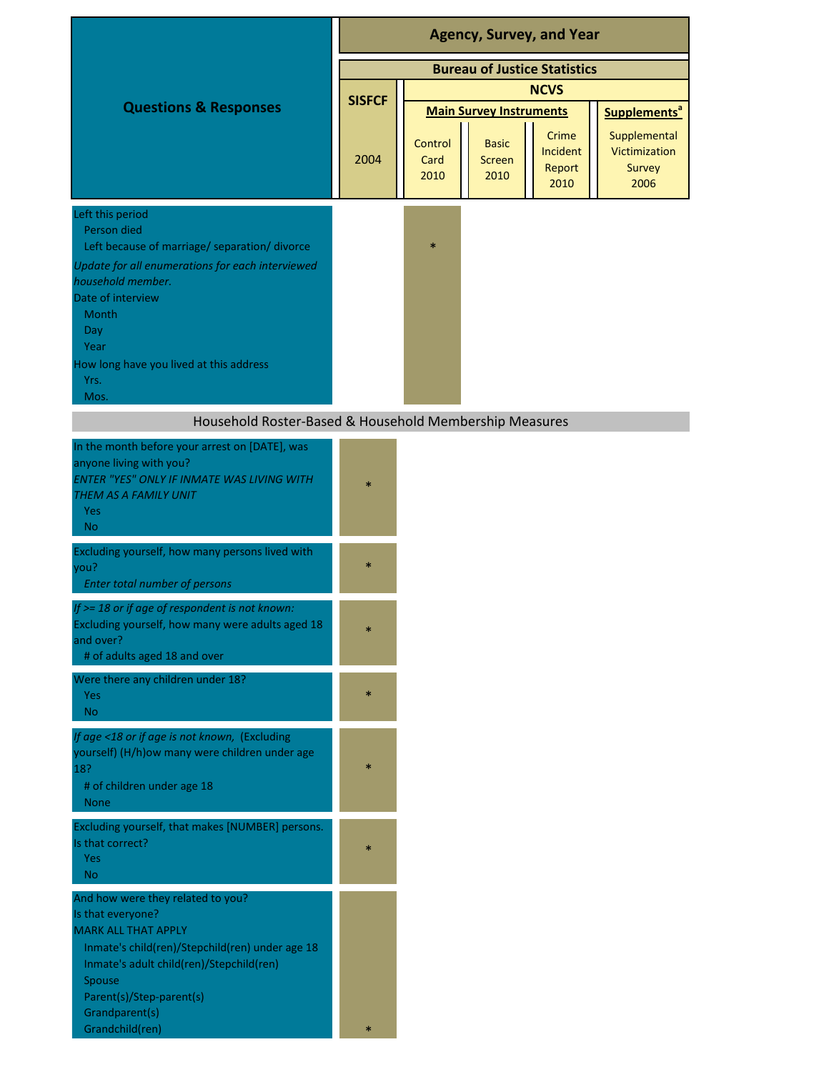|                                                                                                                                                                                                                                                                   | <b>Agency, Survey, and Year</b>     |                                |                                       |                                     |                                                 |
|-------------------------------------------------------------------------------------------------------------------------------------------------------------------------------------------------------------------------------------------------------------------|-------------------------------------|--------------------------------|---------------------------------------|-------------------------------------|-------------------------------------------------|
|                                                                                                                                                                                                                                                                   | <b>Bureau of Justice Statistics</b> |                                |                                       |                                     |                                                 |
|                                                                                                                                                                                                                                                                   |                                     | <b>NCVS</b>                    |                                       |                                     |                                                 |
| <b>Questions &amp; Responses</b>                                                                                                                                                                                                                                  | <b>SISFCF</b>                       | <b>Main Survey Instruments</b> |                                       |                                     | Supplements <sup>a</sup>                        |
|                                                                                                                                                                                                                                                                   | 2004                                | Control<br>Card<br>2010        | <b>Basic</b><br><b>Screen</b><br>2010 | Crime<br>Incident<br>Report<br>2010 | Supplemental<br>Victimization<br>Survey<br>2006 |
| Left this period<br>Person died<br>Left because of marriage/ separation/ divorce<br>Update for all enumerations for each interviewed<br>household member.<br>Date of interview<br>Month<br>Day<br>Year<br>How long have you lived at this address<br>Yrs.<br>Mos. |                                     | $\ast$                         |                                       |                                     |                                                 |
| Household Roster-Based & Household Membership Measures                                                                                                                                                                                                            |                                     |                                |                                       |                                     |                                                 |
| In the month before your arrest on [DATE], was<br>anyone living with you?<br><b>ENTER "YES" ONLY IF INMATE WAS LIVING WITH</b><br>THEM AS A FAMILY UNIT<br>Yes<br>N <sub>o</sub>                                                                                  | $\ast$                              |                                |                                       |                                     |                                                 |
| Excluding yourself, how many persons lived with<br>you?<br>Enter total number of persons                                                                                                                                                                          | $\ast$                              |                                |                                       |                                     |                                                 |
| If >= 18 or if age of respondent is not known:<br>Excluding yourself, how many were adults aged 18<br>and over?<br># of adults aged 18 and over                                                                                                                   | $\ast$                              |                                |                                       |                                     |                                                 |
| Were there any children under 18?<br>Yes<br><b>No</b>                                                                                                                                                                                                             | $\ast$                              |                                |                                       |                                     |                                                 |
| If age <18 or if age is not known, (Excluding<br>yourself) (H/h)ow many were children under age<br>18?<br># of children under age 18<br><b>None</b>                                                                                                               | $\ast$                              |                                |                                       |                                     |                                                 |
| Excluding yourself, that makes [NUMBER] persons.<br>Is that correct?<br><b>Yes</b><br><b>No</b>                                                                                                                                                                   | $\ast$                              |                                |                                       |                                     |                                                 |
| And how were they related to you?<br>Is that everyone?<br><b>MARK ALL THAT APPLY</b><br>Inmate's child(ren)/Stepchild(ren) under age 18<br>Inmate's adult child(ren)/Stepchild(ren)<br>Spouse<br>Parent(s)/Step-parent(s)<br>Grandparent(s)<br>Grandchild(ren)    | $\ast$                              |                                |                                       |                                     |                                                 |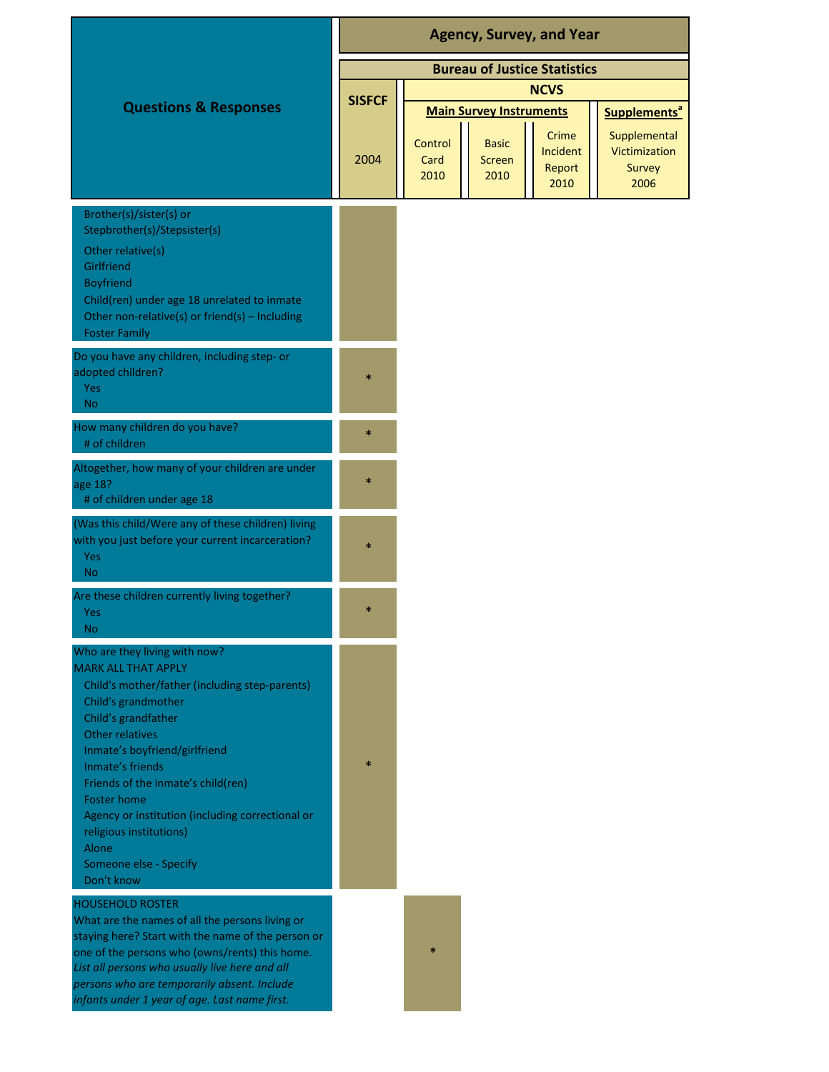|                                                                                                                                                                                                                                                                                                                                                                                                                          | <b>Agency, Survey, and Year</b>     |                                                                                                                                                            |  |  |  |
|--------------------------------------------------------------------------------------------------------------------------------------------------------------------------------------------------------------------------------------------------------------------------------------------------------------------------------------------------------------------------------------------------------------------------|-------------------------------------|------------------------------------------------------------------------------------------------------------------------------------------------------------|--|--|--|
|                                                                                                                                                                                                                                                                                                                                                                                                                          | <b>Bureau of Justice Statistics</b> |                                                                                                                                                            |  |  |  |
|                                                                                                                                                                                                                                                                                                                                                                                                                          |                                     | <b>NCVS</b>                                                                                                                                                |  |  |  |
| <b>Questions &amp; Responses</b>                                                                                                                                                                                                                                                                                                                                                                                         | <b>SISFCF</b>                       | <b>Main Survey Instruments</b><br>Supplements <sup>a</sup>                                                                                                 |  |  |  |
|                                                                                                                                                                                                                                                                                                                                                                                                                          | 2004                                | Crime<br>Supplemental<br>Control<br><b>Basic</b><br>Victimization<br>Incident<br>Card<br><b>Screen</b><br>Report<br>Survey<br>2010<br>2010<br>2010<br>2006 |  |  |  |
| Brother(s)/sister(s) or<br>Stepbrother(s)/Stepsister(s)<br>Other relative(s)<br>Girlfriend<br><b>Boyfriend</b><br>Child(ren) under age 18 unrelated to inmate<br>Other non-relative(s) or friend(s) - Including<br><b>Foster Family</b>                                                                                                                                                                                  |                                     |                                                                                                                                                            |  |  |  |
| Do you have any children, including step- or<br>adopted children?<br>Yes<br>N <sub>o</sub>                                                                                                                                                                                                                                                                                                                               | *                                   |                                                                                                                                                            |  |  |  |
| How many children do you have?<br># of children                                                                                                                                                                                                                                                                                                                                                                          | $\ast$                              |                                                                                                                                                            |  |  |  |
| Altogether, how many of your children are under<br>age 18?<br># of children under age 18                                                                                                                                                                                                                                                                                                                                 | $\ast$                              |                                                                                                                                                            |  |  |  |
| (Was this child/Were any of these children) living<br>with you just before your current incarceration?<br>Yes<br>N <sub>o</sub>                                                                                                                                                                                                                                                                                          | $\ast$                              |                                                                                                                                                            |  |  |  |
| Are these children currently living together?<br><b>Yes</b><br>No.                                                                                                                                                                                                                                                                                                                                                       | $\ast$                              |                                                                                                                                                            |  |  |  |
| Who are they living with now?<br><b>MARK ALL THAT APPLY</b><br>Child's mother/father (including step-parents)<br>Child's grandmother<br>Child's grandfather<br>Other relatives<br>Inmate's boyfriend/girlfriend<br>Inmate's friends<br>Friends of the inmate's child(ren)<br>Foster home<br>Agency or institution (including correctional or<br>religious institutions)<br>Alone<br>Someone else - Specify<br>Don't know | $\ast$                              |                                                                                                                                                            |  |  |  |
| <b>HOUSEHOLD ROSTER</b><br>What are the names of all the persons living or<br>staying here? Start with the name of the person or<br>one of the persons who (owns/rents) this home.<br>List all persons who usually live here and all<br>persons who are temporarily absent. Include<br>infants under 1 year of age. Last name first.                                                                                     |                                     |                                                                                                                                                            |  |  |  |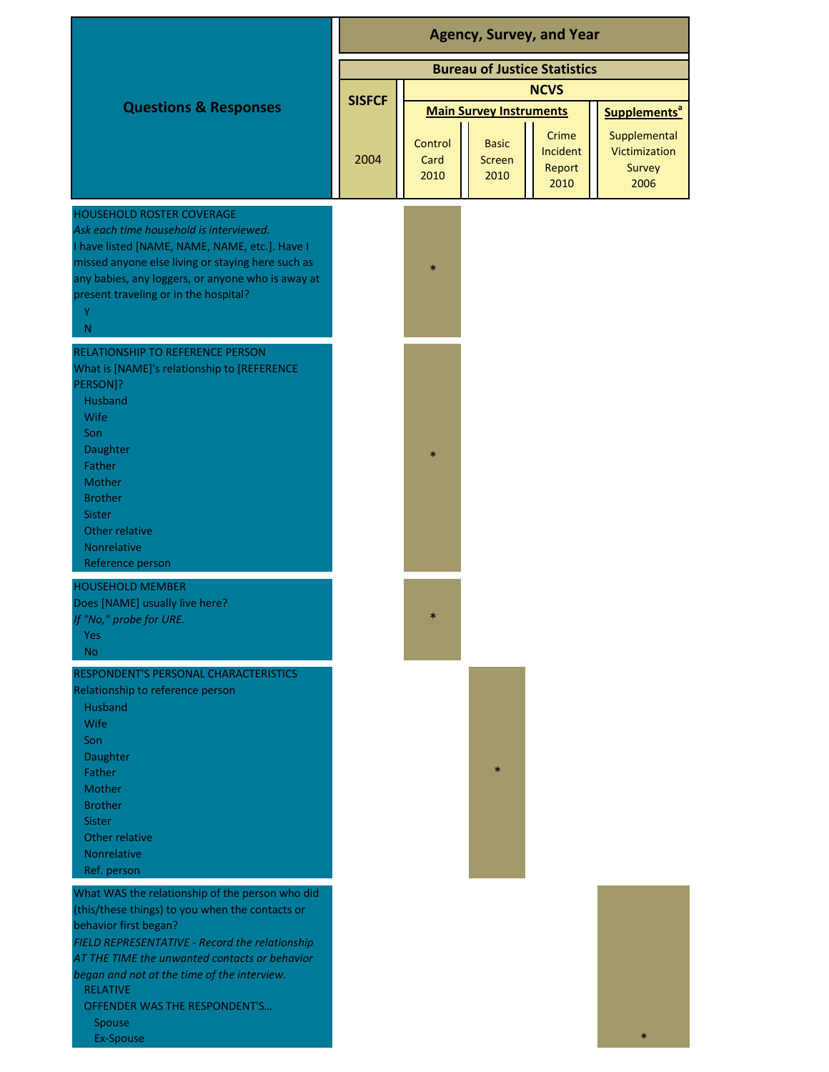|                                                                                                                                                                                                                                                                                                                                             | <b>Agency, Survey, and Year</b>     |                                |                                       |                                     |                                                 |
|---------------------------------------------------------------------------------------------------------------------------------------------------------------------------------------------------------------------------------------------------------------------------------------------------------------------------------------------|-------------------------------------|--------------------------------|---------------------------------------|-------------------------------------|-------------------------------------------------|
|                                                                                                                                                                                                                                                                                                                                             | <b>Bureau of Justice Statistics</b> |                                |                                       |                                     |                                                 |
|                                                                                                                                                                                                                                                                                                                                             | <b>NCVS</b>                         |                                |                                       |                                     |                                                 |
| <b>Questions &amp; Responses</b>                                                                                                                                                                                                                                                                                                            | <b>SISFCF</b>                       | <b>Main Survey Instruments</b> |                                       |                                     | Supplements <sup>a</sup>                        |
|                                                                                                                                                                                                                                                                                                                                             | 2004                                | Control<br>Card<br>2010        | <b>Basic</b><br><b>Screen</b><br>2010 | Crime<br>Incident<br>Report<br>2010 | Supplemental<br>Victimization<br>Survey<br>2006 |
| <b>HOUSEHOLD ROSTER COVERAGE</b><br>Ask each time household is interviewed.<br>I have listed [NAME, NAME, NAME, etc.]. Have I<br>missed anyone else living or staying here such as<br>any babies, any loggers, or anyone who is away at<br>present traveling or in the hospital?<br>Y<br>${\sf N}$                                          |                                     | $\ast$                         |                                       |                                     |                                                 |
| <b>RELATIONSHIP TO REFERENCE PERSON</b><br>What is [NAME]'s relationship to [REFERENCE<br>PERSON]?<br>Husband<br>Wife<br>Son<br>Daughter<br>Father<br>Mother<br><b>Brother</b><br><b>Sister</b><br>Other relative<br>Nonrelative<br>Reference person                                                                                        |                                     | $\ast$                         |                                       |                                     |                                                 |
| <b>HOUSEHOLD MEMBER</b><br>Does [NAME] usually live here?<br>If "No," probe for URE.<br>Yes<br>N <sub>o</sub>                                                                                                                                                                                                                               |                                     | $\ast$                         |                                       |                                     |                                                 |
| RESPONDENT'S PERSONAL CHARACTERISTICS<br>Relationship to reference person<br>Husband<br><b>Wife</b><br>Son<br>Daughter<br>Father<br><b>Mother</b><br><b>Brother</b><br><b>Sister</b><br>Other relative<br><b>Nonrelative</b><br>Ref. person                                                                                                 |                                     |                                | $\ast$                                |                                     |                                                 |
| What WAS the relationship of the person who did<br>(this/these things) to you when the contacts or<br>behavior first began?<br>FIELD REPRESENTATIVE - Record the relationship<br>AT THE TIME the unwanted contacts or behavior<br>began and not at the time of the interview.<br><b>RELATIVE</b><br>OFFENDER WAS THE RESPONDENT'S<br>Spouse |                                     |                                |                                       |                                     |                                                 |

Ex-Spouse

\*